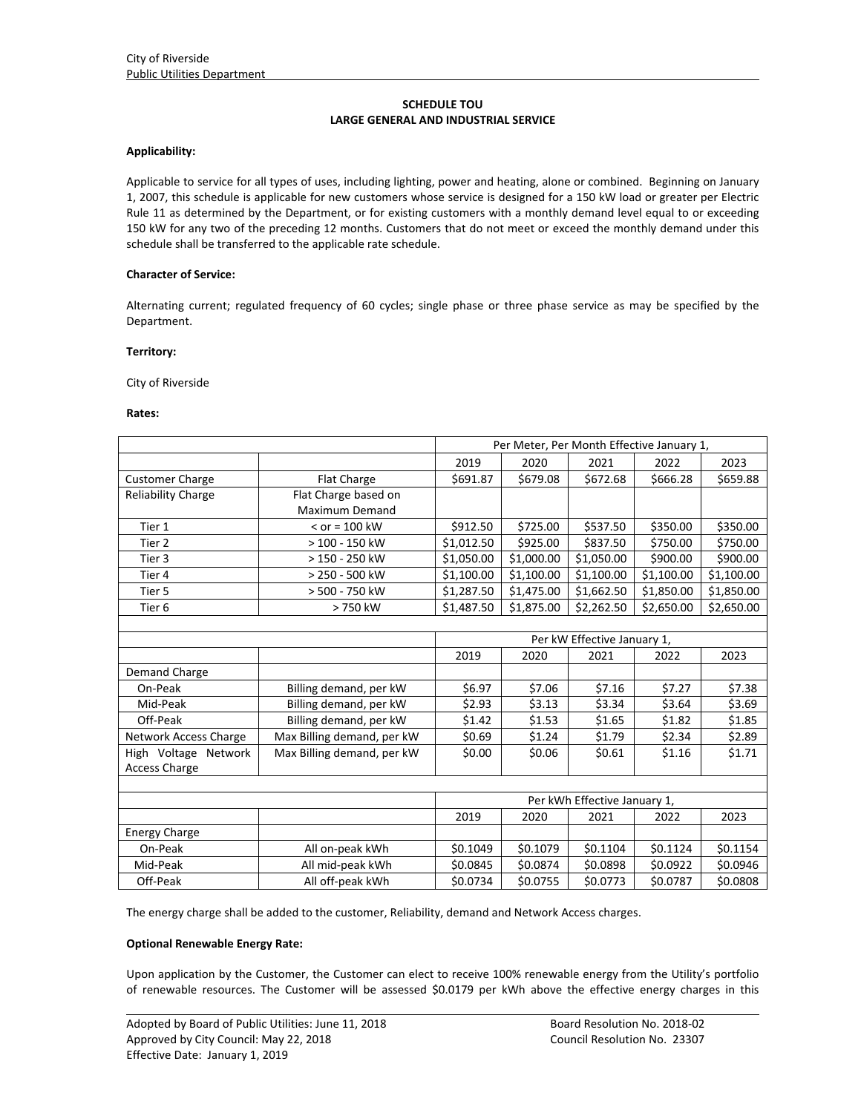## **SCHEDULE TOU LARGE GENERAL AND INDUSTRIAL SERVICE**

#### **Applicability:**

Applicable to service for all types of uses, including lighting, power and heating, alone or combined. Beginning on January 1, 2007, this schedule is applicable for new customers whose service is designed for a 150 kW load or greater per Electric Rule 11 as determined by the Department, or for existing customers with a monthly demand level equal to or exceeding 150 kW for any two of the preceding 12 months. Customers that do not meet or exceed the monthly demand under this schedule shall be transferred to the applicable rate schedule.

## **Character of Service:**

Alternating current; regulated frequency of 60 cycles; single phase or three phase service as may be specified by the Department.

#### **Territory:**

City of Riverside

#### **Rates:**

|                              |                            | Per Meter, Per Month Effective January 1, |            |            |            |            |
|------------------------------|----------------------------|-------------------------------------------|------------|------------|------------|------------|
|                              |                            | 2019                                      | 2020       | 2021       | 2022       | 2023       |
| <b>Customer Charge</b>       | <b>Flat Charge</b>         | \$691.87                                  | \$679.08   | \$672.68   | \$666.28   | \$659.88   |
| <b>Reliability Charge</b>    | Flat Charge based on       |                                           |            |            |            |            |
|                              | <b>Maximum Demand</b>      |                                           |            |            |            |            |
| Tier 1                       | $<$ or = 100 kW            | \$912.50                                  | \$725.00   | \$537.50   | \$350.00   | \$350.00   |
| Tier <sub>2</sub>            | > 100 - 150 kW             | \$1,012.50                                | \$925.00   | \$837.50   | \$750.00   | \$750.00   |
| Tier 3                       | > 150 - 250 kW             | \$1,050.00                                | \$1,000.00 | \$1,050.00 | \$900.00   | \$900.00   |
| Tier 4                       | > 250 - 500 kW             | \$1,100.00                                | \$1,100.00 | \$1,100.00 | \$1,100.00 | \$1,100.00 |
| Tier 5                       | > 500 - 750 kW             | \$1,287.50                                | \$1,475.00 | \$1,662.50 | \$1,850.00 | \$1,850.00 |
| Tier <sub>6</sub>            | > 750 kW                   | \$1,487.50                                | \$1,875.00 | \$2,262.50 | \$2,650.00 | \$2,650.00 |
|                              |                            |                                           |            |            |            |            |
|                              |                            | Per kW Effective January 1,               |            |            |            |            |
|                              |                            | 2019                                      | 2020       | 2021       | 2022       | 2023       |
| Demand Charge                |                            |                                           |            |            |            |            |
| On-Peak                      | Billing demand, per kW     | \$6.97                                    | \$7.06     | \$7.16     | \$7.27     | \$7.38     |
| Mid-Peak                     | Billing demand, per kW     | \$2.93                                    | \$3.13     | \$3.34     | \$3.64     | \$3.69     |
| Off-Peak                     | Billing demand, per kW     | \$1.42                                    | \$1.53     | \$1.65     | \$1.82     | \$1.85     |
| <b>Network Access Charge</b> | Max Billing demand, per kW | \$0.69                                    | \$1.24     | \$1.79     | \$2.34     | \$2.89     |
| High Voltage Network         | Max Billing demand, per kW | \$0.00                                    | \$0.06     | \$0.61     | \$1.16     | \$1.71     |
| <b>Access Charge</b>         |                            |                                           |            |            |            |            |
|                              |                            |                                           |            |            |            |            |
|                              |                            | Per kWh Effective January 1,              |            |            |            |            |
|                              |                            | 2019                                      | 2020       | 2021       | 2022       | 2023       |
| <b>Energy Charge</b>         |                            |                                           |            |            |            |            |
| On-Peak                      | All on-peak kWh            | \$0.1049                                  | \$0.1079   | \$0.1104   | \$0.1124   | \$0.1154   |
| Mid-Peak                     | All mid-peak kWh           | \$0.0845                                  | \$0.0874   | \$0.0898   | \$0.0922   | \$0.0946   |
| Off-Peak                     | All off-peak kWh           | \$0.0734                                  | \$0.0755   | \$0.0773   | \$0.0787   | \$0.0808   |

The energy charge shall be added to the customer, Reliability, demand and Network Access charges.

## **Optional Renewable Energy Rate:**

<u> 1989 - Johann Stoff, amerikansk politiker (d. 1989)</u> Upon application by the Customer, the Customer can elect to receive 100% renewable energy from the Utility's portfolio of renewable resources. The Customer will be assessed \$0.0179 per kWh above the effective energy charges in this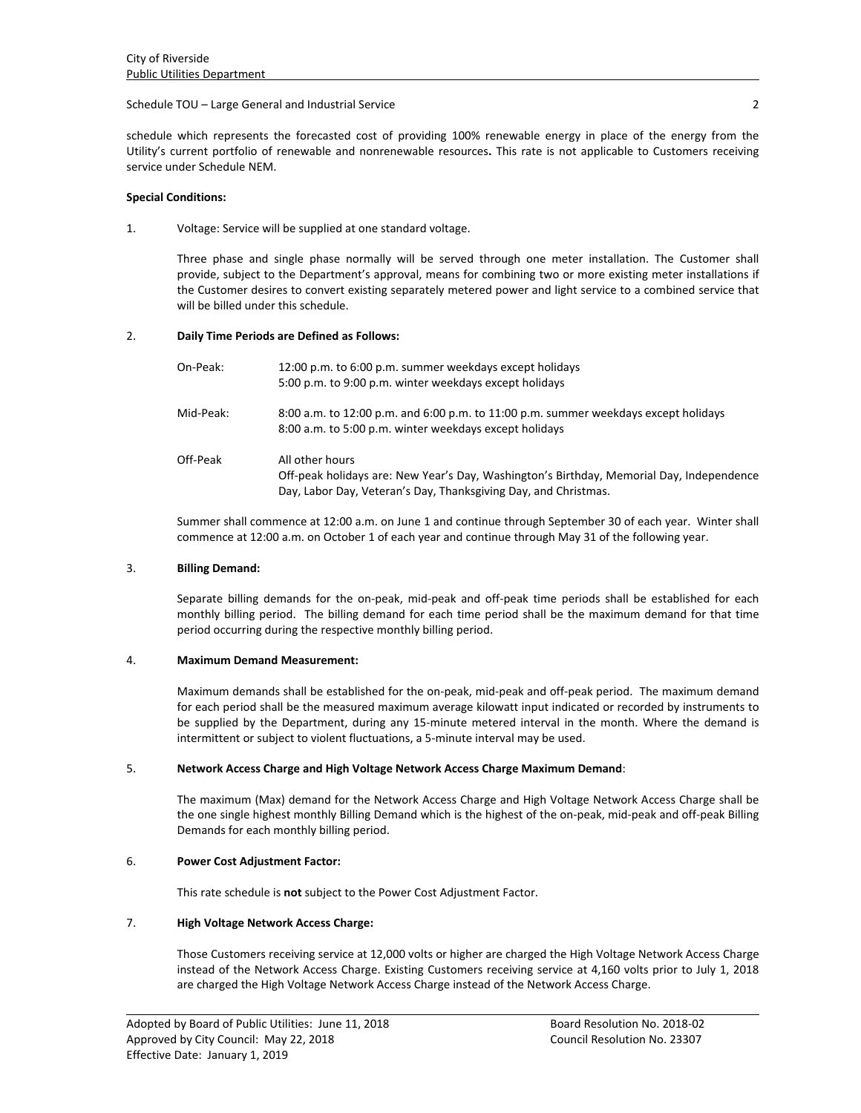## Schedule TOU – Large General and Industrial Service 2

schedule which represents the forecasted cost of providing 100% renewable energy in place of the energy from the Utility's current portfolio of renewable and nonrenewable resources**.** This rate is not applicable to Customers receiving service under Schedule NEM.

## **Special Conditions:**

1. Voltage: Service will be supplied at one standard voltage.

Three phase and single phase normally will be served through one meter installation. The Customer shall provide, subject to the Department's approval, means for combining two or more existing meter installations if the Customer desires to convert existing separately metered power and light service to a combined service that will be billed under this schedule.

# 2. **Daily Time Periods are Defined as Follows:**

| On-Peak:  | 12:00 p.m. to 6:00 p.m. summer weekdays except holidays<br>5:00 p.m. to 9:00 p.m. winter weekdays except holidays                                                              |
|-----------|--------------------------------------------------------------------------------------------------------------------------------------------------------------------------------|
| Mid-Peak: | 8:00 a.m. to 12:00 p.m. and 6:00 p.m. to 11:00 p.m. summer weekdays except holidays<br>8:00 a.m. to 5:00 p.m. winter weekdays except holidays                                  |
| Off-Peak  | All other hours<br>Off-peak holidays are: New Year's Day, Washington's Birthday, Memorial Day, Independence<br>Day, Labor Day, Veteran's Day, Thanksgiving Day, and Christmas. |

Summer shall commence at 12:00 a.m. on June 1 and continue through September 30 of each year. Winter shall commence at 12:00 a.m. on October 1 of each year and continue through May 31 of the following year.

## 3. **Billing Demand:**

Separate billing demands for the on‐peak, mid‐peak and off‐peak time periods shall be established for each monthly billing period. The billing demand for each time period shall be the maximum demand for that time period occurring during the respective monthly billing period.

## 4. **Maximum Demand Measurement:**

Maximum demands shall be established for the on‐peak, mid‐peak and off‐peak period. The maximum demand for each period shall be the measured maximum average kilowatt input indicated or recorded by instruments to be supplied by the Department, during any 15-minute metered interval in the month. Where the demand is intermittent or subject to violent fluctuations, a 5‐minute interval may be used.

## 5. **Network Access Charge and High Voltage Network Access Charge Maximum Demand**:

The maximum (Max) demand for the Network Access Charge and High Voltage Network Access Charge shall be the one single highest monthly Billing Demand which is the highest of the on‐peak, mid‐peak and off‐peak Billing Demands for each monthly billing period.

# 6. **Power Cost Adjustment Factor:**

This rate schedule is **not** subject to the Power Cost Adjustment Factor.

# 7. **High Voltage Network Access Charge:**

Those Customers receiving service at 12,000 volts or higher are charged the High Voltage Network Access Charge instead of the Network Access Charge. Existing Customers receiving service at 4,160 volts prior to July 1, 2018 are charged the High Voltage Network Access Charge instead of the Network Access Charge.

<u> 1989 - Johann Stoff, amerikansk politiker (d. 1989)</u>